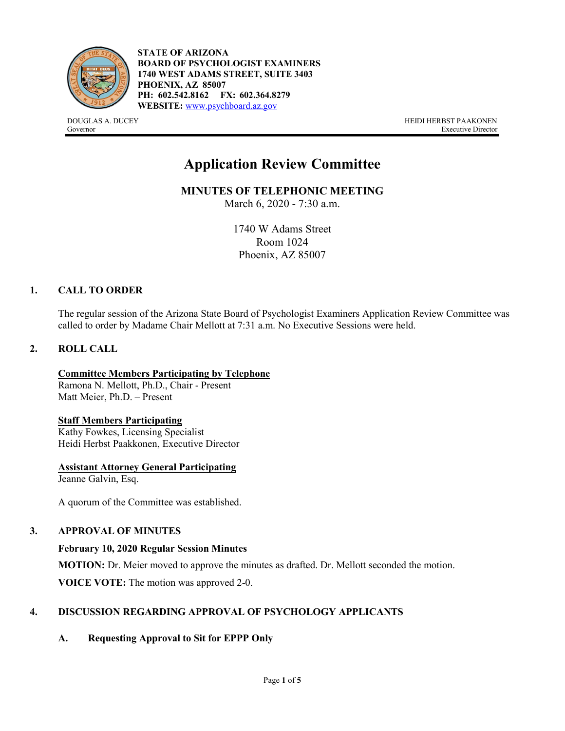

**STATE OF ARIZONA BOARD OF PSYCHOLOGIST EXAMINERS 1740 WEST ADAMS STREET, SUITE 3403 PHOENIX, AZ 85007 PH: 602.542.8162 FX: 602.364.8279 WEBSITE:** [www.psychboard.az.gov](http://www.psychboard.az.gov/)

DOUGLAS A. DUCEY HEIDI HERBST PAAKONEN Governor Executive Director

# **Application Review Committee**

**MINUTES OF TELEPHONIC MEETING** 

March 6, 2020 - 7:30 a.m.

1740 W Adams Street Room 1024 Phoenix, AZ 85007

## **1. CALL TO ORDER**

The regular session of the Arizona State Board of Psychologist Examiners Application Review Committee was called to order by Madame Chair Mellott at 7:31 a.m. No Executive Sessions were held.

## **2. ROLL CALL**

**Committee Members Participating by Telephone** Ramona N. Mellott, Ph.D., Chair - Present Matt Meier, Ph.D. – Present

#### **Staff Members Participating**

Kathy Fowkes, Licensing Specialist Heidi Herbst Paakkonen, Executive Director

**Assistant Attorney General Participating**

Jeanne Galvin, Esq.

A quorum of the Committee was established.

## **3. APPROVAL OF MINUTES**

#### **February 10, 2020 Regular Session Minutes**

**MOTION:** Dr. Meier moved to approve the minutes as drafted. Dr. Mellott seconded the motion.

**VOICE VOTE:** The motion was approved 2-0.

# **4. DISCUSSION REGARDING APPROVAL OF PSYCHOLOGY APPLICANTS**

**A. Requesting Approval to Sit for EPPP Only**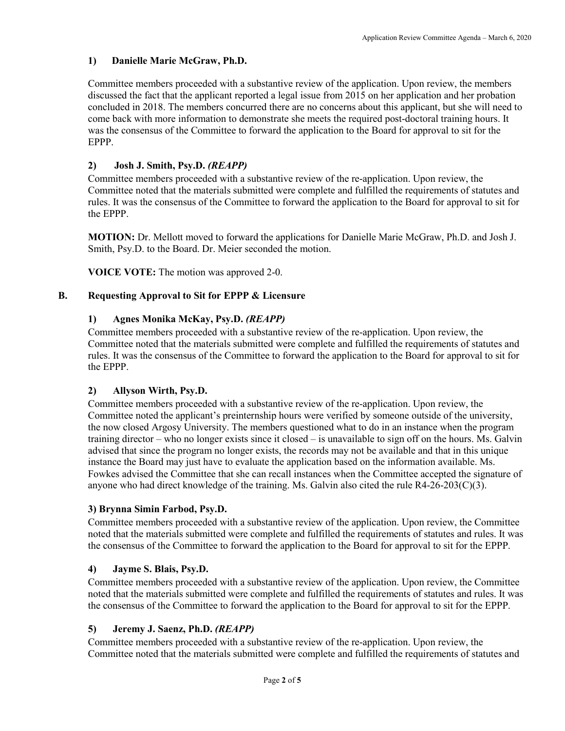# **1) Danielle Marie McGraw, Ph.D.**

Committee members proceeded with a substantive review of the application. Upon review, the members discussed the fact that the applicant reported a legal issue from 2015 on her application and her probation concluded in 2018. The members concurred there are no concerns about this applicant, but she will need to come back with more information to demonstrate she meets the required post-doctoral training hours. It was the consensus of the Committee to forward the application to the Board for approval to sit for the EPPP.

# **2) Josh J. Smith, Psy.D.** *(REAPP)*

Committee members proceeded with a substantive review of the re-application. Upon review, the Committee noted that the materials submitted were complete and fulfilled the requirements of statutes and rules. It was the consensus of the Committee to forward the application to the Board for approval to sit for the EPPP.

**MOTION:** Dr. Mellott moved to forward the applications for Danielle Marie McGraw, Ph.D. and Josh J. Smith, Psy.D. to the Board. Dr. Meier seconded the motion.

**VOICE VOTE:** The motion was approved 2-0.

## **B. Requesting Approval to Sit for EPPP & Licensure**

#### **1) Agnes Monika McKay, Psy.D.** *(REAPP)*

Committee members proceeded with a substantive review of the re-application. Upon review, the Committee noted that the materials submitted were complete and fulfilled the requirements of statutes and rules. It was the consensus of the Committee to forward the application to the Board for approval to sit for the EPPP.

#### **2) Allyson Wirth, Psy.D.**

Committee members proceeded with a substantive review of the re-application. Upon review, the Committee noted the applicant's preinternship hours were verified by someone outside of the university, the now closed Argosy University. The members questioned what to do in an instance when the program training director – who no longer exists since it closed – is unavailable to sign off on the hours. Ms. Galvin advised that since the program no longer exists, the records may not be available and that in this unique instance the Board may just have to evaluate the application based on the information available. Ms. Fowkes advised the Committee that she can recall instances when the Committee accepted the signature of anyone who had direct knowledge of the training. Ms. Galvin also cited the rule  $R4-26-203(C)(3)$ .

#### **3) Brynna Simin Farbod, Psy.D.**

Committee members proceeded with a substantive review of the application. Upon review, the Committee noted that the materials submitted were complete and fulfilled the requirements of statutes and rules. It was the consensus of the Committee to forward the application to the Board for approval to sit for the EPPP.

#### **4) Jayme S. Blais, Psy.D.**

Committee members proceeded with a substantive review of the application. Upon review, the Committee noted that the materials submitted were complete and fulfilled the requirements of statutes and rules. It was the consensus of the Committee to forward the application to the Board for approval to sit for the EPPP.

#### **5) Jeremy J. Saenz, Ph.D.** *(REAPP)*

Committee members proceeded with a substantive review of the re-application. Upon review, the Committee noted that the materials submitted were complete and fulfilled the requirements of statutes and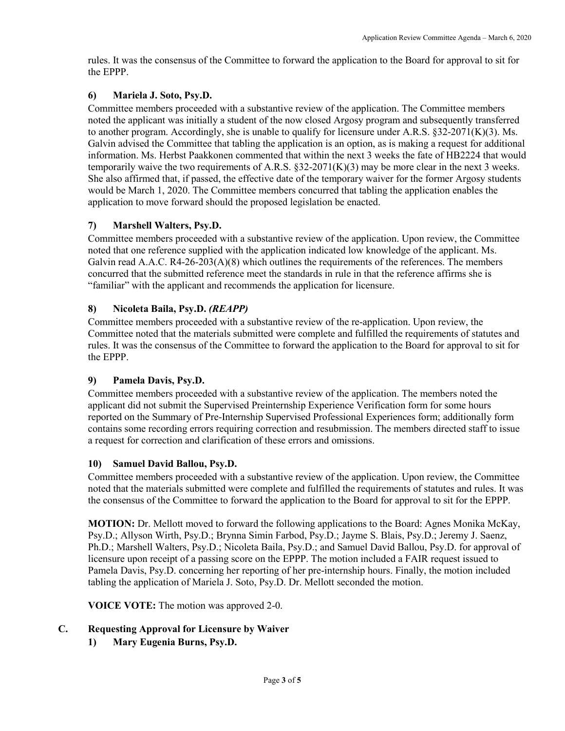rules. It was the consensus of the Committee to forward the application to the Board for approval to sit for the EPPP.

## **6) Mariela J. Soto, Psy.D.**

Committee members proceeded with a substantive review of the application. The Committee members noted the applicant was initially a student of the now closed Argosy program and subsequently transferred to another program. Accordingly, she is unable to qualify for licensure under A.R.S. §32-2071(K)(3). Ms. Galvin advised the Committee that tabling the application is an option, as is making a request for additional information. Ms. Herbst Paakkonen commented that within the next 3 weeks the fate of HB2224 that would temporarily waive the two requirements of A.R.S.  $\S$ 32-2071(K)(3) may be more clear in the next 3 weeks. She also affirmed that, if passed, the effective date of the temporary waiver for the former Argosy students would be March 1, 2020. The Committee members concurred that tabling the application enables the application to move forward should the proposed legislation be enacted.

# **7) Marshell Walters, Psy.D.**

Committee members proceeded with a substantive review of the application. Upon review, the Committee noted that one reference supplied with the application indicated low knowledge of the applicant. Ms. Galvin read A.A.C. R4-26-203(A)(8) which outlines the requirements of the references. The members concurred that the submitted reference meet the standards in rule in that the reference affirms she is "familiar" with the applicant and recommends the application for licensure.

# **8) Nicoleta Baila, Psy.D.** *(REAPP)*

Committee members proceeded with a substantive review of the re-application. Upon review, the Committee noted that the materials submitted were complete and fulfilled the requirements of statutes and rules. It was the consensus of the Committee to forward the application to the Board for approval to sit for the EPPP.

## **9) Pamela Davis, Psy.D.**

Committee members proceeded with a substantive review of the application. The members noted the applicant did not submit the Supervised Preinternship Experience Verification form for some hours reported on the Summary of Pre-Internship Supervised Professional Experiences form; additionally form contains some recording errors requiring correction and resubmission. The members directed staff to issue a request for correction and clarification of these errors and omissions.

## **10) Samuel David Ballou, Psy.D.**

Committee members proceeded with a substantive review of the application. Upon review, the Committee noted that the materials submitted were complete and fulfilled the requirements of statutes and rules. It was the consensus of the Committee to forward the application to the Board for approval to sit for the EPPP.

**MOTION:** Dr. Mellott moved to forward the following applications to the Board: Agnes Monika McKay, Psy.D.; Allyson Wirth, Psy.D.; Brynna Simin Farbod, Psy.D.; Jayme S. Blais, Psy.D.; Jeremy J. Saenz, Ph.D.; Marshell Walters, Psy.D.; Nicoleta Baila, Psy.D.; and Samuel David Ballou, Psy.D. for approval of licensure upon receipt of a passing score on the EPPP. The motion included a FAIR request issued to Pamela Davis, Psy.D. concerning her reporting of her pre-internship hours. Finally, the motion included tabling the application of Mariela J. Soto, Psy.D. Dr. Mellott seconded the motion.

**VOICE VOTE:** The motion was approved 2-0.

## **C. Requesting Approval for Licensure by Waiver**

**1) Mary Eugenia Burns, Psy.D.**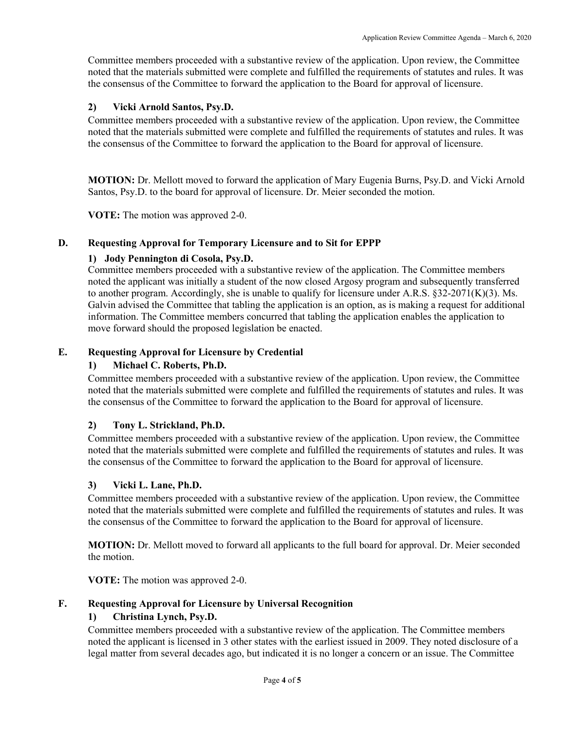Committee members proceeded with a substantive review of the application. Upon review, the Committee noted that the materials submitted were complete and fulfilled the requirements of statutes and rules. It was the consensus of the Committee to forward the application to the Board for approval of licensure.

## **2) Vicki Arnold Santos, Psy.D.**

Committee members proceeded with a substantive review of the application. Upon review, the Committee noted that the materials submitted were complete and fulfilled the requirements of statutes and rules. It was the consensus of the Committee to forward the application to the Board for approval of licensure.

**MOTION:** Dr. Mellott moved to forward the application of Mary Eugenia Burns, Psy.D. and Vicki Arnold Santos, Psy.D. to the board for approval of licensure. Dr. Meier seconded the motion.

**VOTE:** The motion was approved 2-0.

#### **D. Requesting Approval for Temporary Licensure and to Sit for EPPP**

## **1) Jody Pennington di Cosola, Psy.D.**

Committee members proceeded with a substantive review of the application. The Committee members noted the applicant was initially a student of the now closed Argosy program and subsequently transferred to another program. Accordingly, she is unable to qualify for licensure under A.R.S.  $\S 32-2071(K)(3)$ . Ms. Galvin advised the Committee that tabling the application is an option, as is making a request for additional information. The Committee members concurred that tabling the application enables the application to move forward should the proposed legislation be enacted.

#### **E. Requesting Approval for Licensure by Credential**

### **1) Michael C. Roberts, Ph.D.**

Committee members proceeded with a substantive review of the application. Upon review, the Committee noted that the materials submitted were complete and fulfilled the requirements of statutes and rules. It was the consensus of the Committee to forward the application to the Board for approval of licensure.

## **2) Tony L. Strickland, Ph.D.**

Committee members proceeded with a substantive review of the application. Upon review, the Committee noted that the materials submitted were complete and fulfilled the requirements of statutes and rules. It was the consensus of the Committee to forward the application to the Board for approval of licensure.

#### **3) Vicki L. Lane, Ph.D.**

Committee members proceeded with a substantive review of the application. Upon review, the Committee noted that the materials submitted were complete and fulfilled the requirements of statutes and rules. It was the consensus of the Committee to forward the application to the Board for approval of licensure.

**MOTION:** Dr. Mellott moved to forward all applicants to the full board for approval. Dr. Meier seconded the motion.

**VOTE:** The motion was approved 2-0.

#### **F. Requesting Approval for Licensure by Universal Recognition**

#### **1) Christina Lynch, Psy.D.**

Committee members proceeded with a substantive review of the application. The Committee members noted the applicant is licensed in 3 other states with the earliest issued in 2009. They noted disclosure of a legal matter from several decades ago, but indicated it is no longer a concern or an issue. The Committee